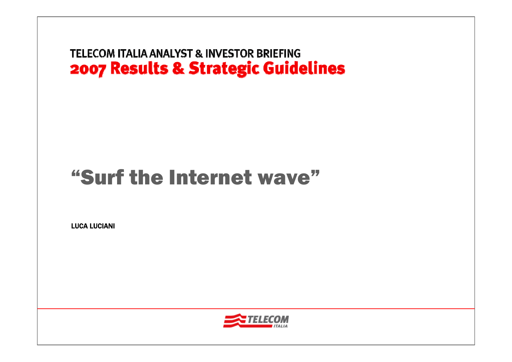# "Surf the Internet wave"

LUCA LUCIANI

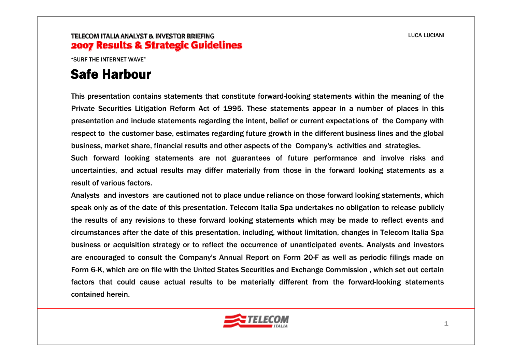"SURF THE INTERNET WAVE"

### Safe Harbour

This presentation contains statements that constitute forward-looking statements within the meaning of the Private Securities Litigation Reform Act of 1995. These statements appear in a number of places in this presentation and include statements regarding the intent, belief or current expectations of the Company with respect to the customer base, estimates regarding future growth in the different business lines and the global business, market share, financial results and other aspects of the Company's activities and strategies.

Such forward looking statements are not guarantees of future performance and involve risks and uncertainties, and actual results may differ materially from those in the forward looking statements as a result of various factors.

Analysts and investors are cautioned not to place undue reliance on those forward looking statements, which speak only as of the date of this presentation. Telecom Italia Spa undertakes no obligation to release publicly the results of any revisions to these forward looking statements which may be made to reflect events and circumstances after the date of this presentation, including, without limitation, changes in Telecom Italia Spa business or acquisition strategy or to reflect the occurrence of unanticipated events. Analysts and investors are encouraged to consult the Company's Annual Report on Form 20-F as well as periodic filings made on Form 6-K, which are on file with the United States Securities and Exchange Commission , which set out certain factors that could cause actual results to be materially different from the forward-looking statements contained herein.

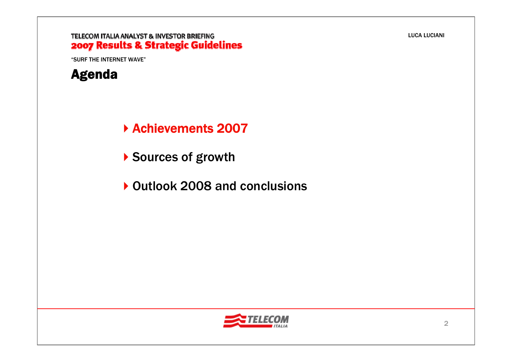#### TELECOM ITALIA ANALYST & INVESTOR BRIEFING 2007 Results & Strategic Guidelines

"SURF THE INTERNET WAVE"



Achievements 2007

- ▶ Sources of growth
- ▶ Outlook 2008 and conclusions

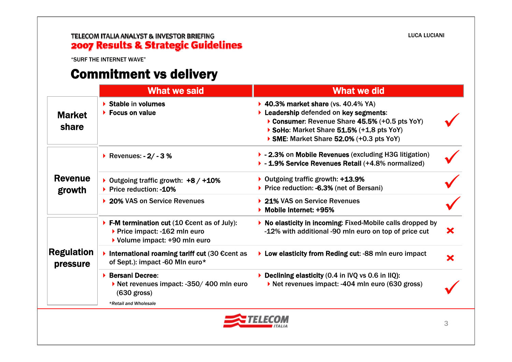# **TELECOM ITALIA ANALYST & INVESTOR BRIEFING<br>2007 Results & Strategic Guidelines**

"SURF THE INTERNET WAVE"

### Commitment vs delivery

|                               | <b>What we said</b>                                                                                                                                                                                                                                                                       | <b>What we did</b>                                                                                                                     |   |
|-------------------------------|-------------------------------------------------------------------------------------------------------------------------------------------------------------------------------------------------------------------------------------------------------------------------------------------|----------------------------------------------------------------------------------------------------------------------------------------|---|
| <b>Market</b><br>share        | $\triangleright$ Stable in volumes<br>▶ 40.3% market share (vs. 40.4% YA)<br>Leadership defended on key segments:<br>$\triangleright$ Focus on value<br>Consumer: Revenue Share 45.5% (+0.5 pts YoY)<br>SoHo: Market Share 51.5% (+1,8 pts YoY)<br>SME: Market Share 52.0% (+0.3 pts YoY) |                                                                                                                                        |   |
|                               | ▶ Revenues: - 2/ - 3 %                                                                                                                                                                                                                                                                    | ▶ - 2.3% on Mobile Revenues (excluding H3G litigation)<br>▶ - 1.9% Service Revenues Retail (+4.8% normalized)                          |   |
| <b>Revenue</b><br>growth      | ▶ Outgoing traffic growth: $+8/+10%$<br>▶ Price reduction: -10%                                                                                                                                                                                                                           | ▶ Outgoing traffic growth: +13.9%<br>▶ Price reduction: -6.3% (net of Bersani)                                                         |   |
|                               | ▶ 20% VAS on Service Revenues                                                                                                                                                                                                                                                             | ▶ 21% VAS on Service Revenues<br>Mobile Internet: +95%                                                                                 |   |
| <b>Regulation</b><br>pressure | ▶ F-M termination cut $(10 \text{ }\epsilon\text{cent} \text{ as of July}):$<br>▶ Price impact: -162 mln euro<br>▶ Volume impact: +90 mln euro                                                                                                                                            | ▶ No elasticity in incoming: Fixed-Mobile calls dropped by<br>-12% with additional -90 mln euro on top of price cut                    | × |
|                               | International roaming tariff cut $(30)$ Ecent as<br>of Sept.): impact -60 Mln euro*                                                                                                                                                                                                       | ▶ Low elasticity from Reding cut: -88 mln euro impact                                                                                  | × |
|                               | ▶ Bersani Decree:<br>Net revenues impact: -350/400 mln euro<br>$(630$ gross)                                                                                                                                                                                                              | Declining elasticity $(0.4 \text{ in } \text{IVQ vs } 0.6 \text{ in } \text{IIQ})$ :<br>Net revenues impact: -404 mln euro (630 gross) |   |
|                               | *Retail and Wholesale                                                                                                                                                                                                                                                                     |                                                                                                                                        |   |

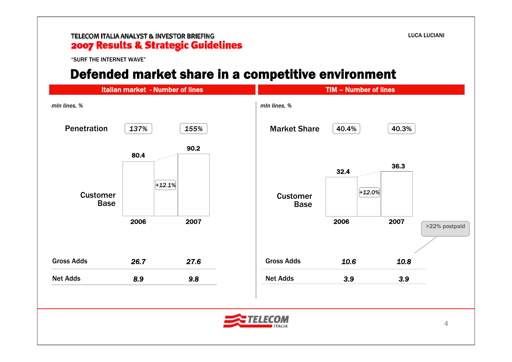#### TELECOM ITALIA ANALYST & INVESTOR BRIEFING 2007 Results & Strategic Guidelines

"SURF THE INTERNET WAVE"

### Defended market share in a competitive environment

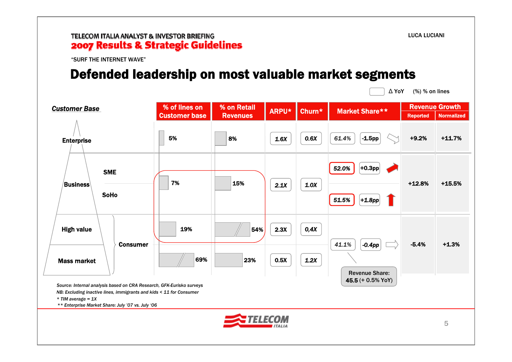#### TELECOM ITALIA ANALYST & INVESTOR BRIEFING 2007 Results & Strategic Guidelines

"SURF THE INTERNET WAVE"

### Defended leadership on most valuable market segments

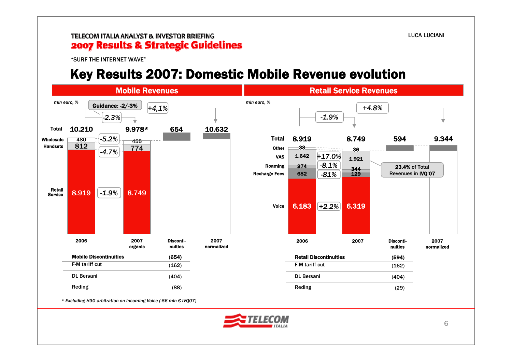"SURF THE INTERNET WAVE"

### Key Results 2007: Domestic Mobile Revenue evolution



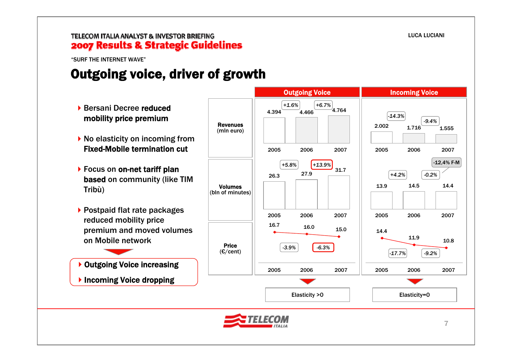"SURF THE INTERNET WAVE"

## Outgoing voice, driver of growth

Revenues (mln euro) Volumes (bln of minutes) Price(€/cent) Outgoing Voice **Incoming Voice** *+1.6% +6.7% -14.3%-17.7% -9.2% +5.8% +4.2% -0.2%* Elasticity >0 and a Elasticity=0  $-12.4%$  F-M 4.394 4.466 $4.764$ 2005 2006 20072.002 1.716 1.5552005 2006 2007*-6.3%+13.9% -3.9%-9.4%*27.9 26.331.72005 2006 2007 16.0 $16.7$   $16.0$   $15.0$ 2005 2006 200711.9 14.410.82005 2006 200713.9 14.5 14.4 2005 2006 2007▶ Bersani Decree reduced mobility price premium ▶ No elasticity on incoming from Fixed-Mobile termination cut▶ Focus on on-net tariff plan based on community (like TIM Tribù) ▶ Postpaid flat rate packages reduced mobility price premium and moved volumes on Mobile network▶ Outgoing Voice increasing  $\blacktriangleright$  Incoming Voice dropping

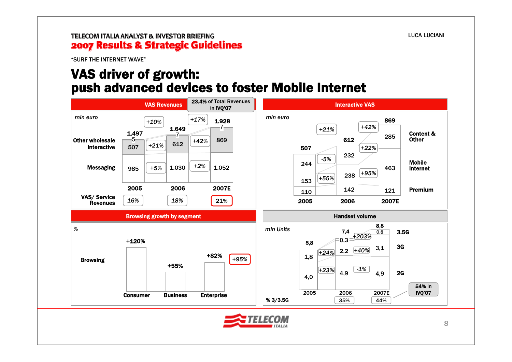#### TELECOM ITALIA ANALYST & INVESTOR BRIEFING 2007 Results & Strategic Guidelines

"SURF THE INTERNET WAVE"

### VAS driver of growth: push advanced devices to foster Mobile Internet

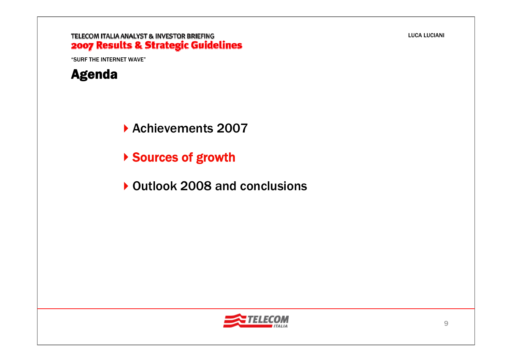### TELECOM ITALIA ANALYST & INVESTOR BRIEFING 2007 Results & Strategic Guidelines

"SURF THE INTERNET WAVE"



Achievements 2007

- ▶ Sources of growth
- ▶ Outlook 2008 and conclusions

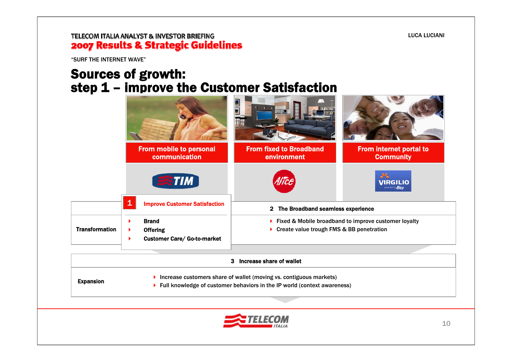#### TELECOM ITALIA ANALYST & INVESTOR BRIEFING 2007 Results & Strategic Guidelines

"SURF THE INTERNET WAVE"

### Sources of growth: step 1 – improve the Customer Satisfaction

|                       |   | From mobile to personal<br>communication                              | <b>From fixed to Broadband</b><br>environment                                                      | <b>From internet portal to</b><br><b>Community</b> |
|-----------------------|---|-----------------------------------------------------------------------|----------------------------------------------------------------------------------------------------|----------------------------------------------------|
|                       |   | <b>TIM</b>                                                            |                                                                                                    | 36<br>VIRGILIO                                     |
|                       | 1 | <b>Improve Customer Satisfaction</b>                                  | The Broadband seamless experience<br>$\mathbf{2}$                                                  |                                                    |
| <b>Transformation</b> |   | <b>Brand</b><br><b>Offering</b><br><b>Customer Care/ Go-to-market</b> | ▶ Fixed & Mobile broadband to improve customer loyalty<br>Create value trough FMS & BB penetration |                                                    |
|                       |   |                                                                       | Increase share of wallet<br>3                                                                      |                                                    |

Expansion

▶ Increase customers share of wallet (moving vs. contiguous markets)

 $\blacktriangleright$  Full knowledge of customer behaviors in the IP world (context awareness)

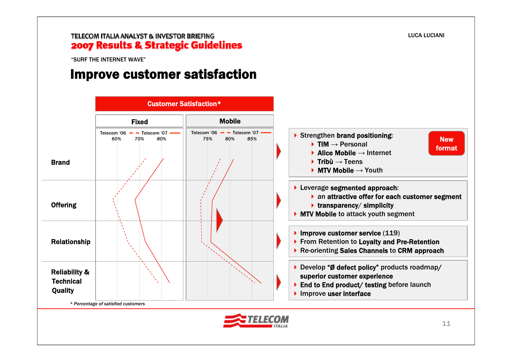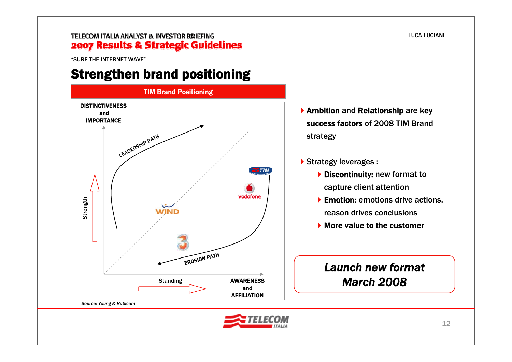#### TELECOM ITALIA ANALYST & INVESTOR BRIEFING 2007 Results & Strategic Guidelines

"SURF THE INTERNET WAVE"

### Strengthen brand positioning



- Ambition and Relationship are key success factors of 2008 TIM Brand strategy
- ▶ Strategy leverages :
	- Discontinuity: new format to capture client attention
	- ▶ Emotion: emotions drive actions, reason drives conclusions
	- More value to the customer

### *Launch new format March 2008*

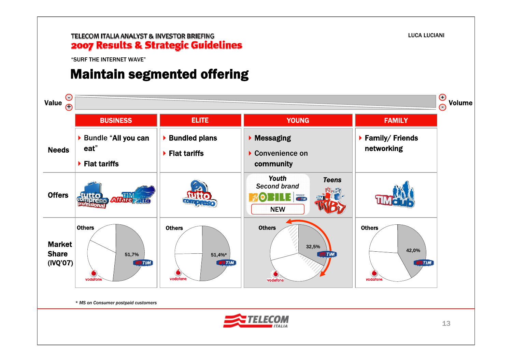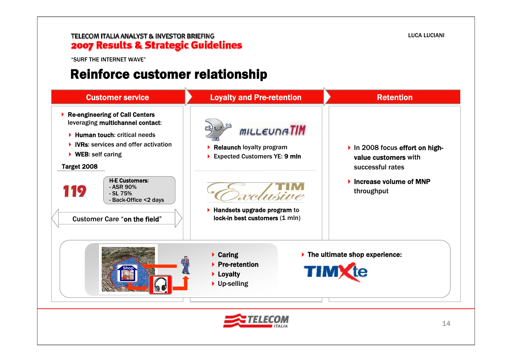#### TELECOM ITALIA ANALYST & INVESTOR BRIEFING **2007 Results & Strategic Guidelines**

"SURF THE INTERNET WAVE"

### Reinforce customer relationship

| <b>Customer service</b>                                                                                                                                                                                                                                                                                                                                        | <b>Loyalty and Pre-retention</b>                                                                                                                          | <b>Retention</b>                                                                                                                        |
|----------------------------------------------------------------------------------------------------------------------------------------------------------------------------------------------------------------------------------------------------------------------------------------------------------------------------------------------------------------|-----------------------------------------------------------------------------------------------------------------------------------------------------------|-----------------------------------------------------------------------------------------------------------------------------------------|
| ▶ Re-engineering of Call Centers<br>leveraging multichannel contact:<br>$\blacktriangleright$ Human touch: critical needs<br>$\triangleright$ IVRs: services and offer activation<br>$\triangleright$ WEB: self caring<br>Target 2008<br><b>H-E Customers:</b><br>- ASR 90%<br>119<br>- SL 75%<br>- Back-Office <2 days<br><b>Customer Care "on the field"</b> | <b>MILLEUNATIM</b><br>Relaunch loyalty program<br>Expected Customers YE: 9 mln<br>Ausive<br>Handsets upgrade program to<br>lock-in best customers (1 mln) | In 2008 focus effort on high-<br>value customers with<br>successful rates<br>$\blacktriangleright$ Increase volume of MNP<br>throughput |
|                                                                                                                                                                                                                                                                                                                                                                | $\triangleright$ Caring<br>$\triangleright$ Pre-retention<br>Loyalty<br>▶ Up-selling                                                                      | $\blacktriangleright$ The ultimate shop experience:<br><b>TIMX</b>                                                                      |
|                                                                                                                                                                                                                                                                                                                                                                |                                                                                                                                                           | 14                                                                                                                                      |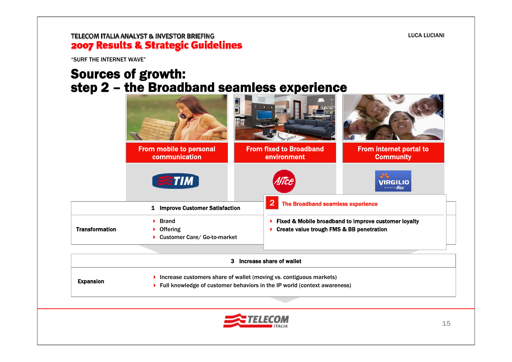#### TELECOM ITALIA ANALYST & INVESTOR BRIEFING 2007 Results & Strategic Guidelines

"SURF THE INTERNET WAVE"

### Sources of growth: step 2 – the Broadband seamless experience

|                       | <b>From mobile to personal</b><br>communication                | <b>From fixed to Broadband</b><br>environment           | <b>From internet portal to</b><br><b>Community</b>   |
|-----------------------|----------------------------------------------------------------|---------------------------------------------------------|------------------------------------------------------|
|                       | $\approx$ TIM                                                  | Alice                                                   | $-22$<br><b>VIRGILIO</b><br>powered by <i>Alice</i>  |
|                       | <b>Improve Customer Satisfaction</b><br>1                      | $\overline{\bf 2}$<br>The Broadband seamless experience |                                                      |
| <b>Transformation</b> | <b>Brand</b><br>▶<br>▶ Offering<br>Customer Care/ Go-to-market | ▶<br>Create value trough FMS & BB penetration           | Fixed & Mobile broadband to improve customer loyalty |

|                  | 3 Increase share of wallet                                                                                                                                      |
|------------------|-----------------------------------------------------------------------------------------------------------------------------------------------------------------|
| <b>Expansion</b> | Increase customers share of wallet (moving vs. contiguous markets)<br>$\triangleright$ Full knowledge of customer behaviors in the IP world (context awareness) |

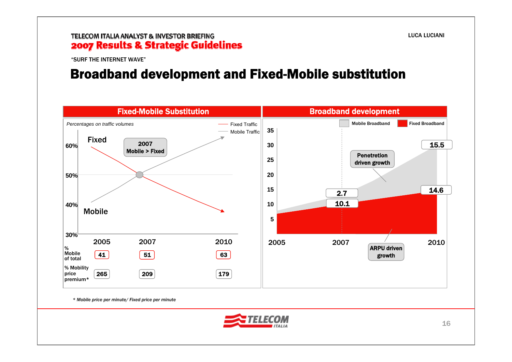#### TELECOM ITALIA ANALYST & INVESTOR BRIEFING 2007 Results & Strategic Guidelines

"SURF THE INTERNET WAVE"

### Broadband development and Fixed-Mobile substitution



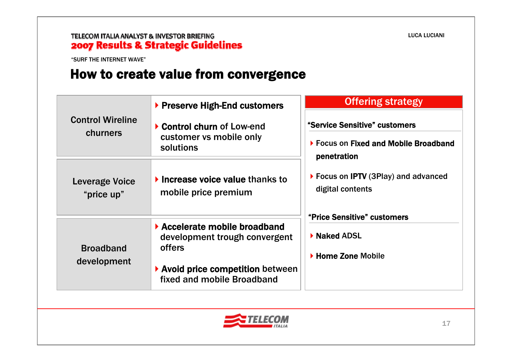"SURF THE INTERNET WAVE"

### How to create value from convergence

|                                     | ▶ Preserve High-End customers                                                                                                             | <b>Offering strategy</b>                                                                |  |
|-------------------------------------|-------------------------------------------------------------------------------------------------------------------------------------------|-----------------------------------------------------------------------------------------|--|
| <b>Control Wireline</b><br>churners | Control churn of Low-end<br>customer vs mobile only<br>solutions                                                                          | "Service Sensitive" customers<br>▶ Focus on Fixed and Mobile Broadband<br>penetration   |  |
| Leverage Voice<br>"price up"        | $\blacktriangleright$ Increase voice value thanks to<br>mobile price premium                                                              | ▶ Focus on IPTV (3Play) and advanced<br>digital contents<br>"Price Sensitive" customers |  |
| <b>Broadband</b><br>development     | Accelerate mobile broadband<br>development trough convergent<br>offers<br>▶ Avoid price competition between<br>fixed and mobile Broadband | ▶ Naked ADSL<br>▶ Home Zone Mobile                                                      |  |

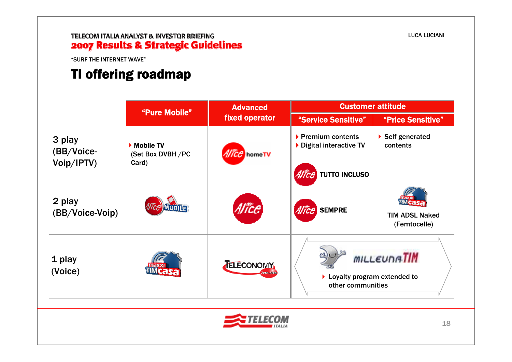# **TELECOM ITALIA ANALYST & INVESTOR BRIEFING<br>2007 Results & Strategic Guidelines**

"SURF THE INTERNET WAVE"

## TI offering roadmap

|                                    | "Pure Mobile"                                           | <b>Advanced</b>         | <b>Customer attitude</b>                                                                     |                                       |
|------------------------------------|---------------------------------------------------------|-------------------------|----------------------------------------------------------------------------------------------|---------------------------------------|
|                                    |                                                         | fixed operator          | "Service Sensitive"                                                                          | "Price Sensitive"                     |
| 3 play<br>(BB/Voice-<br>Voip/IPTV) | $\triangleright$ Mobile TV<br>(Set Box DVBH/PC<br>Card) | Allice homeTV           | ▶ Premium contents<br>▶ Digital interactive TV                                               | ▶ Self generated<br>contents          |
|                                    |                                                         |                         | <b>TUTTO INCLUSO</b><br>Alice                                                                |                                       |
| 2 play<br>(BB/Voice-Voip)          | <b>MOBILE</b>                                           | <i><b>Vice</b></i>      | Alice<br><b>SEMPRE</b>                                                                       | <b>TIM ADSL Naked</b><br>(Femtocelle) |
| 1 play<br>(Voice)                  |                                                         | TELECONOMY<br>Zero-Zero | <b>MILLEUNATIM</b><br>$\blacktriangleright$ Loyalty program extended to<br>other communities |                                       |

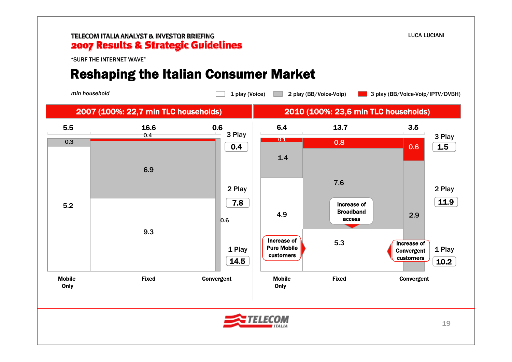#### TELECOM ITALIA ANALYST & INVESTOR BRIEFING 2007 Results & Strategic Guidelines

"SURF THE INTERNET WAVE"

## Reshaping the Italian Consumer Market

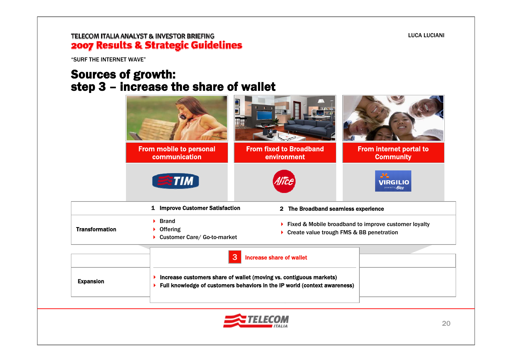### TELECOM ITALIA ANALYST & INVESTOR BRIEFING 2007 Results & Strategic Guidelines

"SURF THE INTERNET WAVE"

### Sources of growth: step 3 – increase the share of wallet

|                                                                                                                                                                               | From mobile to personal<br>communication   | <b>From fixed to Broadband</b><br>environment                                                                                     | <b>From internet portal to</b><br><b>Community</b> |  |
|-------------------------------------------------------------------------------------------------------------------------------------------------------------------------------|--------------------------------------------|-----------------------------------------------------------------------------------------------------------------------------------|----------------------------------------------------|--|
|                                                                                                                                                                               | <b>ETIM</b>                                |                                                                                                                                   | <b>VIRGILIO</b><br>powered by <i>Alice</i>         |  |
|                                                                                                                                                                               | 1 Improve Customer Satisfaction            | 2 The Broadband seamless experience                                                                                               |                                                    |  |
| <b>Transformation</b>                                                                                                                                                         | <b>Brand</b><br>Þ.<br><b>Offering</b><br>▶ | ▶ Fixed & Mobile broadband to improve customer loyalty<br>Create value trough FMS & BB penetration<br>Customer Care/ Go-to-market |                                                    |  |
|                                                                                                                                                                               |                                            | 3<br><b>Increase share of wallet</b>                                                                                              |                                                    |  |
| Increase customers share of wallet (moving vs. contiguous markets)<br>▶<br><b>Expansion</b><br>Full knowledge of customers behaviors in the IP world (context awareness)<br>▶ |                                            |                                                                                                                                   |                                                    |  |
|                                                                                                                                                                               |                                            |                                                                                                                                   |                                                    |  |
|                                                                                                                                                                               |                                            |                                                                                                                                   | 20                                                 |  |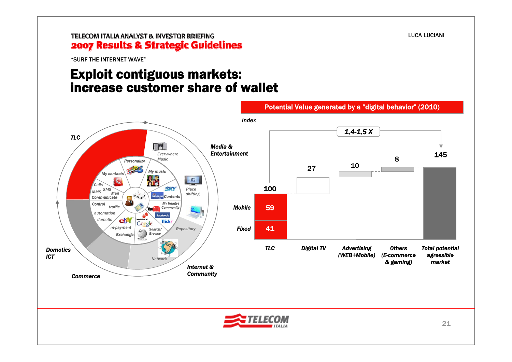"SURF THE INTERNET WAVE"

### Exploit contiguous markets: increase customer share of wallet



LUCA LUCIANI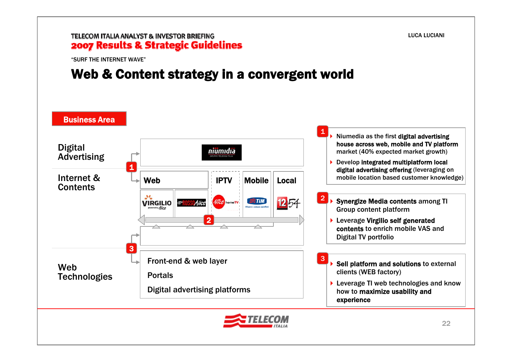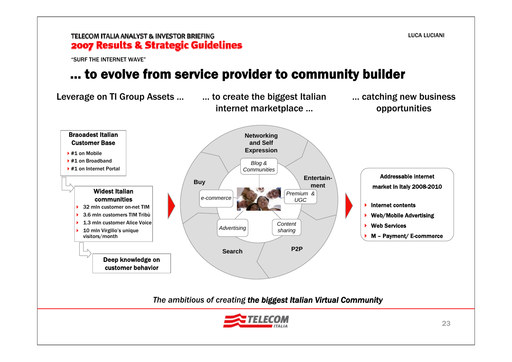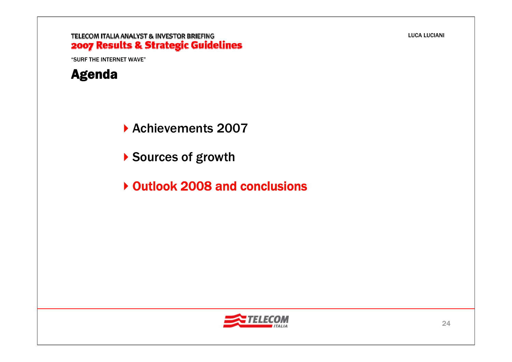#### TELECOM ITALIA ANALYST & INVESTOR BRIEFING 2007 Results & Strategic Guidelines

"SURF THE INTERNET WAVE"



Achievements 2007

- ▶ Sources of growth
- ▶ Outlook 2008 and conclusions

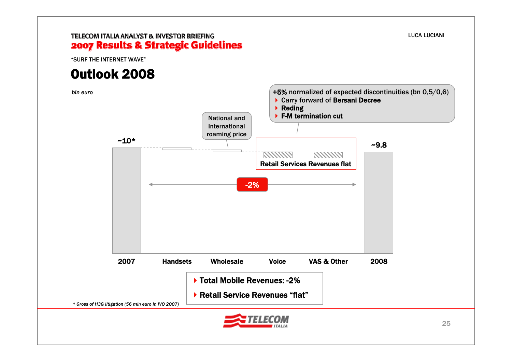